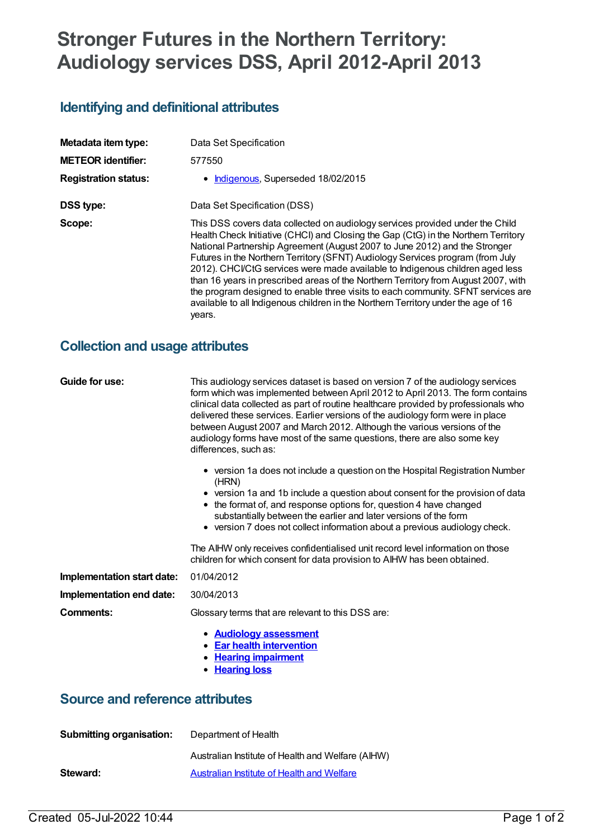# **Stronger Futures in the Northern Territory: Audiology services DSS, April 2012-April 2013**

# **Identifying and definitional attributes**

| Metadata item type:         | Data Set Specification                                                                                                                                                                                                                                                                                                                                                                                                                                                                                                                                                                                                                                                                         |
|-----------------------------|------------------------------------------------------------------------------------------------------------------------------------------------------------------------------------------------------------------------------------------------------------------------------------------------------------------------------------------------------------------------------------------------------------------------------------------------------------------------------------------------------------------------------------------------------------------------------------------------------------------------------------------------------------------------------------------------|
| <b>METEOR identifier:</b>   | 577550                                                                                                                                                                                                                                                                                                                                                                                                                                                                                                                                                                                                                                                                                         |
| <b>Registration status:</b> | • Indigenous, Superseded 18/02/2015                                                                                                                                                                                                                                                                                                                                                                                                                                                                                                                                                                                                                                                            |
| <b>DSS type:</b>            | Data Set Specification (DSS)                                                                                                                                                                                                                                                                                                                                                                                                                                                                                                                                                                                                                                                                   |
| Scope:                      | This DSS covers data collected on audiology services provided under the Child<br>Health Check Initiative (CHCI) and Closing the Gap (CtG) in the Northern Territory<br>National Partnership Agreement (August 2007 to June 2012) and the Stronger<br>Futures in the Northern Territory (SFNT) Audiology Services program (from July<br>2012). CHCI/CtG services were made available to Indigenous children aged less<br>than 16 years in prescribed areas of the Northern Territory from August 2007, with<br>the program designed to enable three visits to each community. SFNT services are<br>available to all Indigenous children in the Northern Territory under the age of 16<br>years. |

## **Collection and usage attributes**

| Guide for use:                         | This audiology services dataset is based on version 7 of the audiology services<br>form which was implemented between April 2012 to April 2013. The form contains<br>clinical data collected as part of routine healthcare provided by professionals who<br>delivered these services. Earlier versions of the audiology form were in place<br>between August 2007 and March 2012. Although the various versions of the<br>audiology forms have most of the same questions, there are also some key<br>differences, such as: |  |
|----------------------------------------|-----------------------------------------------------------------------------------------------------------------------------------------------------------------------------------------------------------------------------------------------------------------------------------------------------------------------------------------------------------------------------------------------------------------------------------------------------------------------------------------------------------------------------|--|
|                                        | • version 1a does not include a question on the Hospital Registration Number<br>(HRN)<br>• version 1a and 1b include a question about consent for the provision of data<br>• the format of, and response options for, question 4 have changed<br>substantially between the earlier and later versions of the form<br>• version 7 does not collect information about a previous audiology check.                                                                                                                             |  |
|                                        | The AIHW only receives confidentialised unit record level information on those<br>children for which consent for data provision to AIHW has been obtained.                                                                                                                                                                                                                                                                                                                                                                  |  |
| Implementation start date:             | 01/04/2012                                                                                                                                                                                                                                                                                                                                                                                                                                                                                                                  |  |
| Implementation end date:               | 30/04/2013                                                                                                                                                                                                                                                                                                                                                                                                                                                                                                                  |  |
| Comments:                              | Glossary terms that are relevant to this DSS are:                                                                                                                                                                                                                                                                                                                                                                                                                                                                           |  |
|                                        | • Audiology assessment<br>• Ear health intervention<br>• Hearing impairment<br>• Hearing loss                                                                                                                                                                                                                                                                                                                                                                                                                               |  |
| <b>Source and reference attributes</b> |                                                                                                                                                                                                                                                                                                                                                                                                                                                                                                                             |  |
| <b>Submitting organisation:</b>        | Department of Health                                                                                                                                                                                                                                                                                                                                                                                                                                                                                                        |  |

|          | Australian Institute of Health and Welfare (AIHW) |
|----------|---------------------------------------------------|
| Steward: | Australian Institute of Health and Welfare        |